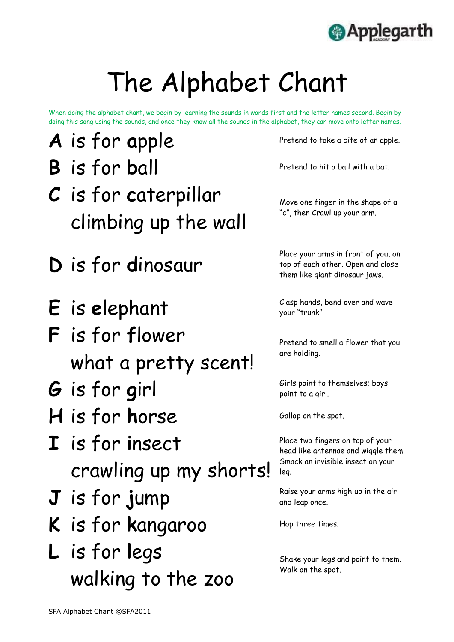SFA Alphabet Chant ©SFA2011



# The Alphabet Chant

When doing the alphabet chant, we begin by learning the sounds in words first and the letter names second. Begin by doing this song using the sounds, and once they know all the sounds in the alphabet, they can move onto letter names.

- **A** is for apple Pretend to take a bite of an apple.
- **B** is for **ball** Pretend to hit a ball with a bat.
- **C** is for **c**aterpillar climbing up the wall
- **D** is for **d**inosaur
- E is elephant Clasp hands, bend over and wave
- **F** is for **f**lower what a pretty scent!
- G is for girl Girls point to themselves; boys point to a girl.
- H is for horse Gallop on the spot.
- **I** is for **i**nsect crawling up my shorts!

Move one finger in the shape of a "c", then Crawl up your arm.

Place your arms in front of you, on top of each other. Open and close them like giant dinosaur jaws.

## **J** is for jump Raise your arms high up in the air K is for kangaroo Hop three times. **L** is for **l**egs walking to the zoo

your "trunk".

Pretend to smell a flower that you are holding.

point to a girl.

Place two fingers on top of your head like antennae and wiggle them. Smack an invisible insect on your leg.

and leap once.

Shake your legs and point to them. Walk on the spot.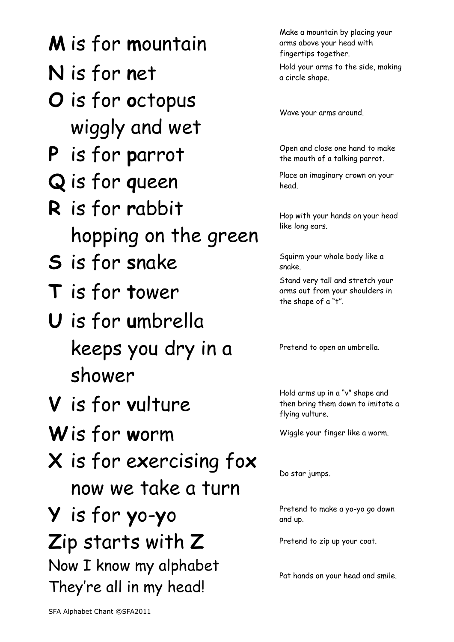SFA Alphabet Chant ©SFA2011

### **M** is for **m**ountain

Make a mountain by placing your arms above your head with fingertips together.

**N** is for net Hold your arms to the side, making a circle shape.

Wave your arms around.

the mouth of a talking parrot.

head.

Hop with your hands on your head like long ears.

snake.

- **O** is for **o**ctopus wiggly and wet
- **P** is for parrot Open and close one hand to make<br>the mouth of a talking parrot.
- **Q** is for queen Place an imaginary crown on your
- **R** is for **r**abbit hopping on the green
- **S** is for snake Squirm your whole body like a
- **T** is for **t**ower
- **U** is for **u**mbrella keeps you dry in a shower
- **V** is for **v**ulture
- Wis for worm Wiggle your finger like a worm.
- **X** is for e**x**ercising fo**x**
	-

Stand very tall and stretch your arms out from your shoulders in the shape of a "t".

Pretend to open an umbrella.

Hold arms up in a "v" shape and then bring them down to imitate a flying vulture.

#### now we take a turn

Do star jumps.

Pretend to make a yo-yo go down and up.

#### **Y** is for **y**o-**y**o Zip starts with Z Pretend to zip up your coat. Now I know my alphabet They're all in my head!

Pat hands on your head and smile.